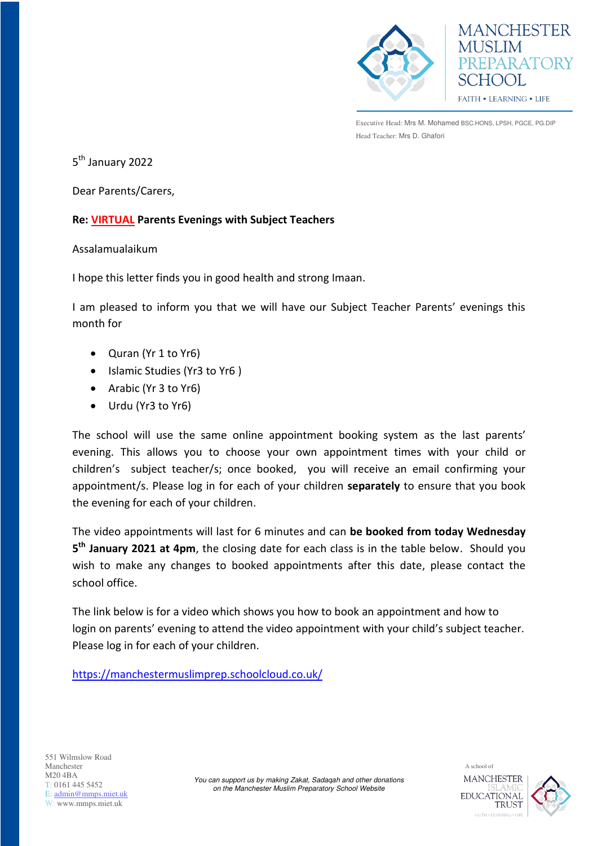



Executive Head: Mrs M. Mohamed BSC.HONS, LPSH, PGCE, PG.DIP Head Teacher: Mrs D. Ghafori

5<sup>th</sup> January 2022

Dear Parents/Carers,

## **Re: VIRTUAL Parents Evenings with Subject Teachers**

## Assalamualaikum

I hope this letter finds you in good health and strong Imaan.

I am pleased to inform you that we will have our Subject Teacher Parents' evenings this month for

- Quran (Yr 1 to Yr6)
- Islamic Studies (Yr3 to Yr6)
- Arabic (Yr 3 to Yr6)
- Urdu (Yr3 to Yr6)

The school will use the same online appointment booking system as the last parents' evening. This allows you to choose your own appointment times with your child or children's subject teacher/s; once booked, you will receive an email confirming your appointment/s. Please log in for each of your children **separately** to ensure that you book the evening for each of your children.

The video appointments will last for 6 minutes and can **be booked from today Wednesday 5 th January 2021 at 4pm**, the closing date for each class is in the table below. Should you wish to make any changes to booked appointments after this date, please contact the school office.

The link below is for a video which shows you how to book an appointment and how to login on parents' evening to attend the video appointment with your child's subject teacher. Please log in for each of your children.

<https://manchestermuslimprep.schoolcloud.co.uk/>